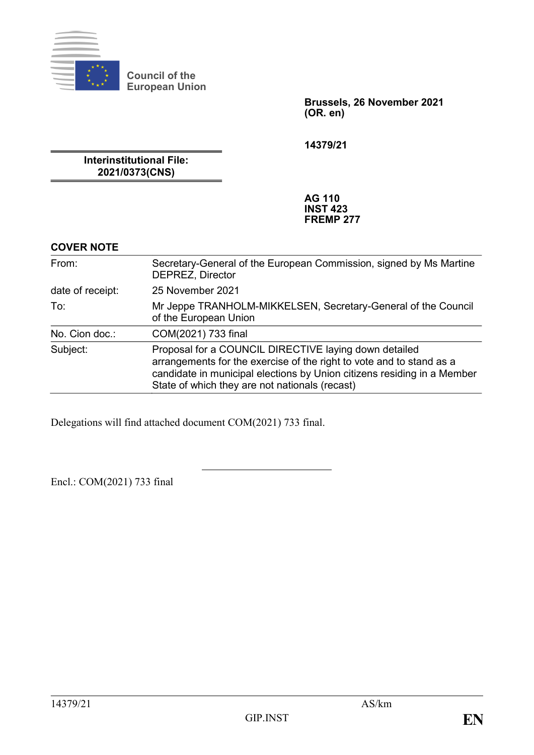

**Council of the European Union**

> **Brussels, 26 November 2021 (OR. en)**

**14379/21**

**Interinstitutional File: 2021/0373(CNS)**

> **AG 110 INST 423 FREMP 277**

#### **COVER NOTE**

| From:            | Secretary-General of the European Commission, signed by Ms Martine<br><b>DEPREZ, Director</b>                                                                                                                                                              |
|------------------|------------------------------------------------------------------------------------------------------------------------------------------------------------------------------------------------------------------------------------------------------------|
| date of receipt: | 25 November 2021                                                                                                                                                                                                                                           |
| To:              | Mr Jeppe TRANHOLM-MIKKELSEN, Secretary-General of the Council<br>of the European Union                                                                                                                                                                     |
| No. Cion doc.:   | COM(2021) 733 final                                                                                                                                                                                                                                        |
| Subject:         | Proposal for a COUNCIL DIRECTIVE laying down detailed<br>arrangements for the exercise of the right to vote and to stand as a<br>candidate in municipal elections by Union citizens residing in a Member<br>State of which they are not nationals (recast) |

Delegations will find attached document COM(2021) 733 final.

Encl.: COM(2021) 733 final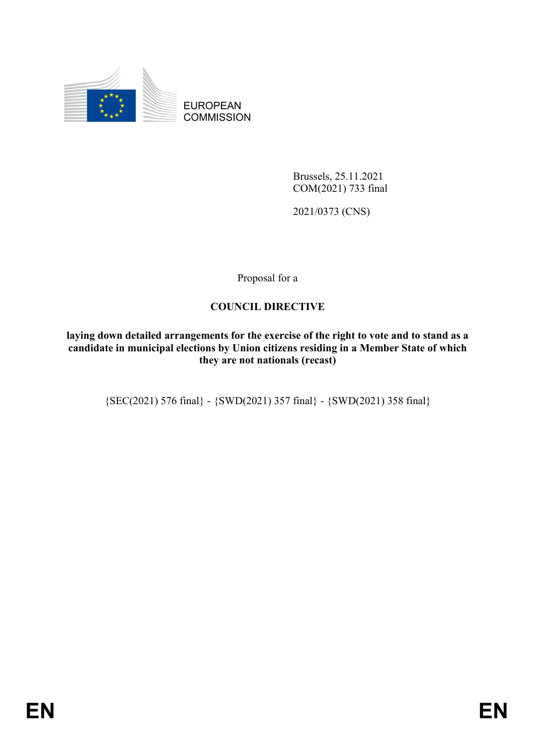

EUROPEAN **COMMISSION** 

> Brussels, 25.11.2021 COM(2021) 733 final

2021/0373 (CNS)

Proposal for a

## **COUNCIL DIRECTIVE**

**laying down detailed arrangements for the exercise of the right to vote and to stand as a candidate in municipal elections by Union citizens residing in a Member State of which they are not nationals (recast)**

{SEC(2021) 576 final} - {SWD(2021) 357 final} - {SWD(2021) 358 final}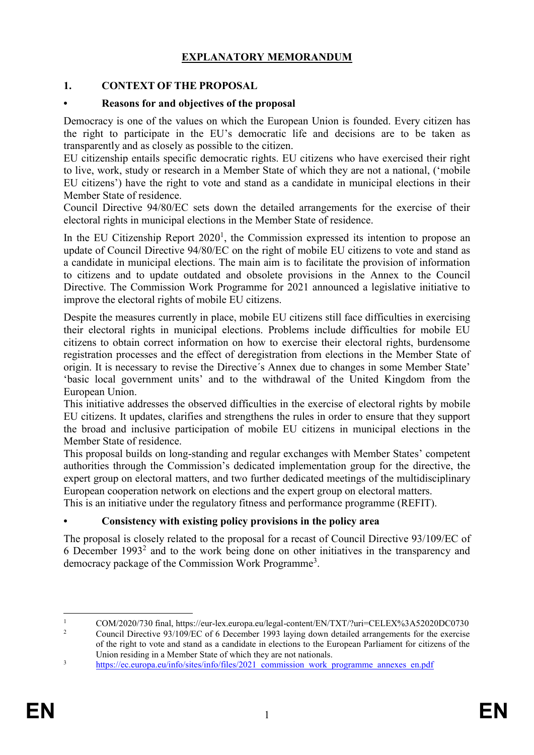## **EXPLANATORY MEMORANDUM**

### **1. CONTEXT OF THE PROPOSAL**

#### **• Reasons for and objectives of the proposal**

Democracy is one of the values on which the European Union is founded. Every citizen has the right to participate in the EU's democratic life and decisions are to be taken as transparently and as closely as possible to the citizen.

EU citizenship entails specific democratic rights. EU citizens who have exercised their right to live, work, study or research in a Member State of which they are not a national, ('mobile EU citizens') have the right to vote and stand as a candidate in municipal elections in their Member State of residence.

Council Directive 94/80/EC sets down the detailed arrangements for the exercise of their electoral rights in municipal elections in the Member State of residence.

In the EU Citizenship Report  $2020<sup>1</sup>$ , the Commission expressed its intention to propose an update of Council Directive 94/80/EC on the right of mobile EU citizens to vote and stand as a candidate in municipal elections. The main aim is to facilitate the provision of information to citizens and to update outdated and obsolete provisions in the Annex to the Council Directive. The Commission Work Programme for 2021 announced a legislative initiative to improve the electoral rights of mobile EU citizens.

Despite the measures currently in place, mobile EU citizens still face difficulties in exercising their electoral rights in municipal elections. Problems include difficulties for mobile EU citizens to obtain correct information on how to exercise their electoral rights, burdensome registration processes and the effect of deregistration from elections in the Member State of origin. It is necessary to revise the Directive´s Annex due to changes in some Member State' 'basic local government units' and to the withdrawal of the United Kingdom from the European Union.

This initiative addresses the observed difficulties in the exercise of electoral rights by mobile EU citizens. It updates, clarifies and strengthens the rules in order to ensure that they support the broad and inclusive participation of mobile EU citizens in municipal elections in the Member State of residence.

This proposal builds on long-standing and regular exchanges with Member States' competent authorities through the Commission's dedicated implementation group for the directive, the expert group on electoral matters, and two further dedicated meetings of the multidisciplinary European cooperation network on elections and the expert group on electoral matters.

This is an initiative under the regulatory fitness and performance programme (REFIT).

### **• Consistency with existing policy provisions in the policy area**

The proposal is closely related to the proposal for a recast of Council Directive 93/109/EC of 6 December  $1993<sup>2</sup>$  and to the work being done on other initiatives in the transparency and democracy package of the Commission Work Programme<sup>3</sup>.

 $\mathbf{1}$ <sup>1</sup> COM/2020/730 final,<https://eur-lex.europa.eu/legal-content/EN/TXT/?uri=CELEX%3A52020DC0730><br><sup>2</sup> Council Directive 03/100/EC of 6 December 1903 laving down datailed expressments for the averaise

<sup>2</sup> Council Directive 93/109/EC of 6 December 1993 laying down detailed arrangements for the exercise of the right to vote and stand as a candidate in elections to the European Parliament for citizens of the Union residing in a Member State of which they are not nationals.

<sup>&</sup>lt;sup>3</sup> https://ec.europa.eu/info/sites/info/files/2021 commission work programme annexes en.pdf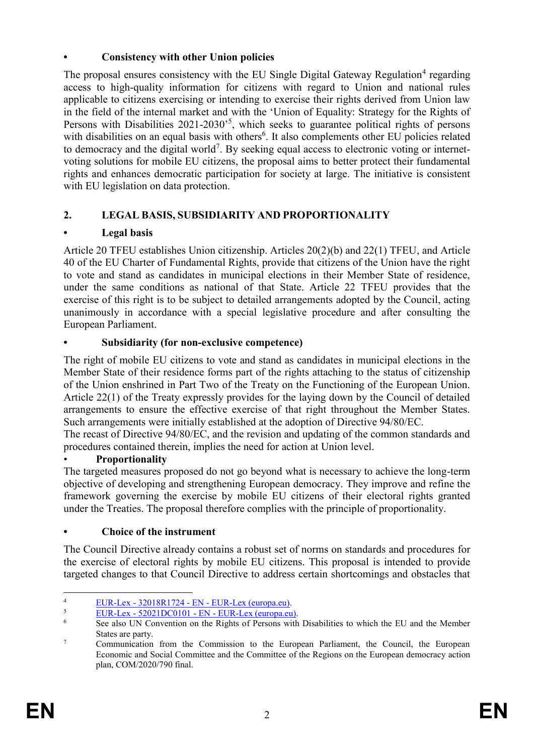## **• Consistency with other Union policies**

The proposal ensures consistency with the EU Single Digital Gateway Regulation<sup>4</sup> regarding access to high-quality information for citizens with regard to Union and national rules applicable to citizens exercising or intending to exercise their rights derived from Union law in the field of the internal market and with the 'Union of Equality: Strategy for the Rights of Persons with Disabilities 2021-2030<sup>5</sup>, which seeks to guarantee political rights of persons with disabilities on an equal basis with others<sup>6</sup>. It also complements other EU policies related to democracy and the digital world<sup>7</sup>. By seeking equal access to electronic voting or internetvoting solutions for mobile EU citizens, the proposal aims to better protect their fundamental rights and enhances democratic participation for society at large. The initiative is consistent with EU legislation on data protection.

## **2. LEGAL BASIS, SUBSIDIARITY AND PROPORTIONALITY**

## **• Legal basis**

Article 20 TFEU establishes Union citizenship. Articles 20(2)(b) and 22(1) TFEU, and Article 40 of the EU Charter of Fundamental Rights, provide that citizens of the Union have the right to vote and stand as candidates in municipal elections in their Member State of residence, under the same conditions as national of that State. Article 22 TFEU provides that the exercise of this right is to be subject to detailed arrangements adopted by the Council, acting unanimously in accordance with a special legislative procedure and after consulting the European Parliament.

## **• Subsidiarity (for non-exclusive competence)**

The right of mobile EU citizens to vote and stand as candidates in municipal elections in the Member State of their residence forms part of the rights attaching to the status of citizenship of the Union enshrined in Part Two of the Treaty on the Functioning of the European Union. Article 22(1) of the Treaty expressly provides for the laying down by the Council of detailed arrangements to ensure the effective exercise of that right throughout the Member States. Such arrangements were initially established at the adoption of Directive 94/80/EC.

The recast of Directive 94/80/EC, and the revision and updating of the common standards and procedures contained therein, implies the need for action at Union level.

## • **Proportionality**

The targeted measures proposed do not go beyond what is necessary to achieve the long-term objective of developing and strengthening European democracy. They improve and refine the framework governing the exercise by mobile EU citizens of their electoral rights granted under the Treaties. The proposal therefore complies with the principle of proportionality.

**• Choice of the instrument**

The Council Directive already contains a robust set of norms on standards and procedures for the exercise of electoral rights by mobile EU citizens. This proposal is intended to provide targeted changes to that Council Directive to address certain shortcomings and obstacles that

 $\overline{a}$  $\frac{2018R1724 - EN - EUR(curopa.eu)}{EUP\_Law - 52021DCO101 - EN - EUP\_Law}$ 

 $\frac{5}{5}$  EUR-Lex - 52021DC0101 - EN - [EUR-Lex \(europa.eu\).](https://eur-lex.europa.eu/legal-content/EN/TXT/?uri=COM%3A2021%3A101%3AFIN)

<sup>6</sup> See also UN Convention on the Rights of Persons with Disabilities to which the EU and the Member States are party.

<sup>&</sup>lt;sup>7</sup> Communication from the Commission to the European Parliament, the Council, the European Economic and Social Committee and the Committee of the Regions on the European democracy action plan, COM/2020/790 final.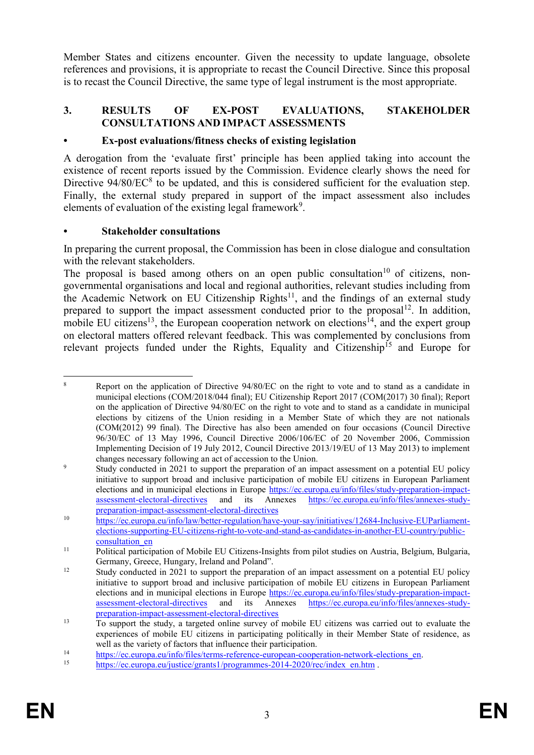Member States and citizens encounter. Given the necessity to update language, obsolete references and provisions, it is appropriate to recast the Council Directive. Since this proposal is to recast the Council Directive, the same type of legal instrument is the most appropriate.

### **3. RESULTS OF EX-POST EVALUATIONS, STAKEHOLDER CONSULTATIONS AND IMPACT ASSESSMENTS**

#### **• Ex-post evaluations/fitness checks of existing legislation**

A derogation from the 'evaluate first' principle has been applied taking into account the existence of recent reports issued by the Commission. Evidence clearly shows the need for Directive  $94/80$ /EC $<sup>8</sup>$  to be updated, and this is considered sufficient for the evaluation step.</sup> Finally, the external study prepared in support of the impact assessment also includes elements of evaluation of the existing legal framework<sup>9</sup>.

#### **• Stakeholder consultations**

In preparing the current proposal, the Commission has been in close dialogue and consultation with the relevant stakeholders.

The proposal is based among others on an open public consultation<sup>10</sup> of citizens, nongovernmental organisations and local and regional authorities, relevant studies including from the Academic Network on EU Citizenship Rights $^{11}$ , and the findings of an external study prepared to support the impact assessment conducted prior to the proposal  $12$ . In addition, mobile EU citizens<sup>13</sup>, the European cooperation network on elections<sup>14</sup>, and the expert group on electoral matters offered relevant feedback. This was complemented by conclusions from relevant projects funded under the Rights, Equality and Citizenship<sup>15</sup> and Europe for

 $\overline{a}$ <sup>8</sup> Report on the application of Directive 94/80/EC on the right to vote and to stand as a candidate in municipal elections (COM/2018/044 final); EU Citizenship Report 2017 (COM(2017) 30 final); Report on the application of Directive 94/80/EC on the right to vote and to stand as a candidate in municipal elections by citizens of the Union residing in a Member State of which they are not nationals (COM(2012) 99 final). The Directive has also been amended on four occasions (Council Directive 96/30/EC of 13 May 1996, Council Directive 2006/106/EC of 20 November 2006, Commission Implementing Decision of 19 July 2012, Council Directive 2013/19/EU of 13 May 2013) to implement changes necessary following an act of accession to the Union.

<sup>&</sup>lt;sup>9</sup> Study conducted in 2021 to support the preparation of an impact assessment on a potential EU policy initiative to support broad and inclusive participation of mobile EU citizens in European Parliament elections and in municipal elections in Europe https://ec.europa.eu/info/files/study-preparation-impact-<br>assessment-electoral-directives and its Annexes https://ec.europa.eu/info/files/annexes-studyand its Annexes [https://ec.europa.eu/info/files/annexes-study](https://ec.europa.eu/info/files/annexes-study-preparation-impact-assessment-electoral-directives)[preparation-impact-assessment-electoral-directives](https://ec.europa.eu/info/files/annexes-study-preparation-impact-assessment-electoral-directives)

<sup>10</sup> [https://ec.europa.eu/info/law/better-regulation/have-your-say/initiatives/12684-Inclusive-EUParliament](https://ec.europa.eu/info/law/better-regulation/have-your-say/initiatives/12684-Inclusive-EUParliament-elections-supporting-EU-citizens-right-to-vote-and-stand-as-candidates-in-another-EU-country/public-consultation_en)[elections-supporting-EU-citizens-right-to-vote-and-stand-as-candidates-in-another-EU-country/public](https://ec.europa.eu/info/law/better-regulation/have-your-say/initiatives/12684-Inclusive-EUParliament-elections-supporting-EU-citizens-right-to-vote-and-stand-as-candidates-in-another-EU-country/public-consultation_en)[consultation\\_en](https://ec.europa.eu/info/law/better-regulation/have-your-say/initiatives/12684-Inclusive-EUParliament-elections-supporting-EU-citizens-right-to-vote-and-stand-as-candidates-in-another-EU-country/public-consultation_en) 

<sup>&</sup>lt;sup>11</sup> Political participation of Mobile EU Citizens-Insights from pilot studies on Austria, Belgium, Bulgaria, Germany, Greece, Hungary, Ireland and Poland".

<sup>&</sup>lt;sup>12</sup> Study conducted in 2021 to support the preparation of an impact assessment on a potential EU policy initiative to support broad and inclusive participation of mobile EU citizens in European Parliament elections and in municipal elections in Europe [https://ec.europa.eu/info/files/study-preparation-impact](https://ec.europa.eu/info/files/study-preparation-impact-assessment-electoral-directives)[assessment-electoral-directives](https://ec.europa.eu/info/files/study-preparation-impact-assessment-electoral-directives) and its Annexes [https://ec.europa.eu/info/files/annexes-study](https://ec.europa.eu/info/files/annexes-study-preparation-impact-assessment-electoral-directives)[preparation-impact-assessment-electoral-directives](https://ec.europa.eu/info/files/annexes-study-preparation-impact-assessment-electoral-directives)

<sup>13</sup> To support the study, a targeted online survey of mobile EU citizens was carried out to evaluate the experiences of mobile EU citizens in participating politically in their Member State of residence, as well as the variety of factors that influence their participation.

<sup>14</sup> [https://ec.europa.eu/info/files/terms-reference-european-cooperation-network-elections\\_en.](https://ec.europa.eu/info/files/terms-reference-european-cooperation-network-elections_en)<br>15 https://ec.europa.eu/info/files/terms-reference-european-cooperation-network-elections\_en.

[https://ec.europa.eu/justice/grants1/programmes-2014-2020/rec/index\\_en.htm](https://ec.europa.eu/justice/grants1/programmes-2014-2020/rec/index_en.htm) .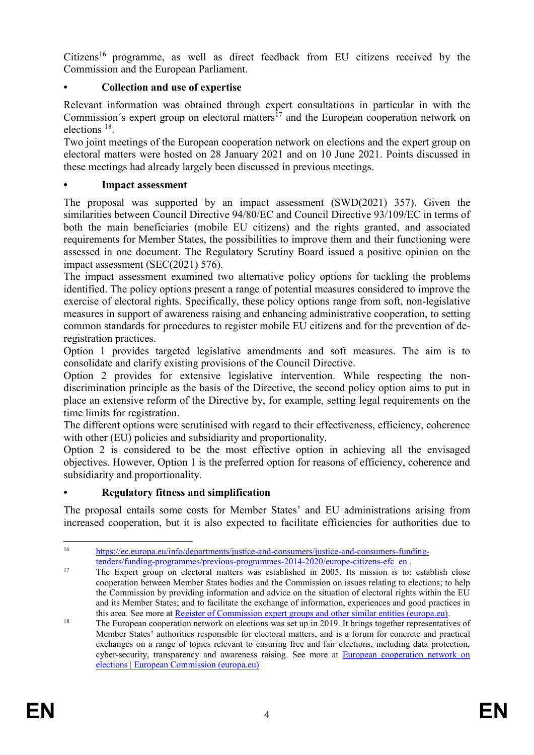Citizens<sup>16</sup> programme, as well as direct feedback from EU citizens received by the Commission and the European Parliament.

## **• Collection and use of expertise**

Relevant information was obtained through expert consultations in particular in with the Commission's expert group on electoral matters<sup> $17$ </sup> and the European cooperation network on elections <sup>18</sup>.

Two joint meetings of the European cooperation network on elections and the expert group on electoral matters were hosted on 28 January 2021 and on 10 June 2021. Points discussed in these meetings had already largely been discussed in previous meetings.

#### **• Impact assessment**

The proposal was supported by an impact assessment (SWD(2021) 357). Given the similarities between Council Directive 94/80/EC and Council Directive 93/109/EC in terms of both the main beneficiaries (mobile EU citizens) and the rights granted, and associated requirements for Member States, the possibilities to improve them and their functioning were assessed in one document. The Regulatory Scrutiny Board issued a positive opinion on the impact assessment (SEC(2021) 576).

The impact assessment examined two alternative policy options for tackling the problems identified. The policy options present a range of potential measures considered to improve the exercise of electoral rights. Specifically, these policy options range from soft, non-legislative measures in support of awareness raising and enhancing administrative cooperation, to setting common standards for procedures to register mobile EU citizens and for the prevention of deregistration practices.

Option 1 provides targeted legislative amendments and soft measures. The aim is to consolidate and clarify existing provisions of the Council Directive.

Option 2 provides for extensive legislative intervention. While respecting the nondiscrimination principle as the basis of the Directive, the second policy option aims to put in place an extensive reform of the Directive by, for example, setting legal requirements on the time limits for registration.

The different options were scrutinised with regard to their effectiveness, efficiency, coherence with other (EU) policies and subsidiarity and proportionality.

Option 2 is considered to be the most effective option in achieving all the envisaged objectives. However, Option 1 is the preferred option for reasons of efficiency, coherence and subsidiarity and proportionality.

### **• Regulatory fitness and simplification**

The proposal entails some costs for Member States' and EU administrations arising from increased cooperation, but it is also expected to facilitate efficiencies for authorities due to

<sup>16</sup> <sup>16</sup> [https://ec.europa.eu/info/departments/justice-and-consumers/justice-and-consumers-funding](https://ec.europa.eu/info/departments/justice-and-consumers/justice-and-consumers-funding-tenders/funding-programmes/previous-programmes-2014-2020/europe-citizens-efc_en)[tenders/funding-programmes/previous-programmes-2014-2020/europe-citizens-efc\\_en](https://ec.europa.eu/info/departments/justice-and-consumers/justice-and-consumers-funding-tenders/funding-programmes/previous-programmes-2014-2020/europe-citizens-efc_en) .

<sup>&</sup>lt;sup>17</sup> The Expert group on electoral matters was established in 2005. Its mission is to: establish close cooperation between Member States bodies and the Commission on issues relating to elections; to help the Commission by providing information and advice on the situation of electoral rights within the EU and its Member States; and to facilitate the exchange of information, experiences and good practices in this area. See more at Register of Commission [expert groups and other similar entities \(europa.eu\).](https://ec.europa.eu/transparency/expert-groups-register/screen/expert-groups/consult?do=groupDetail.group%20Detail&groupID=617)

<sup>&</sup>lt;sup>18</sup> The European cooperation network on elections was set up in 2019. It brings together representatives of Member States' authorities responsible for electoral matters, and is a forum for concrete and practical exchanges on a range of topics relevant to ensuring free and fair elections, including data protection, cyber-security, transparency and awareness raising. See more at [European cooperation network on](https://ec.europa.eu/info/policies/justice-and-fundamental-rights/eu-citizenship/electoral-rights/european-cooperation-network-elections_en#meetings)  [elections | European Commission \(europa.eu\)](https://ec.europa.eu/info/policies/justice-and-fundamental-rights/eu-citizenship/electoral-rights/european-cooperation-network-elections_en#meetings)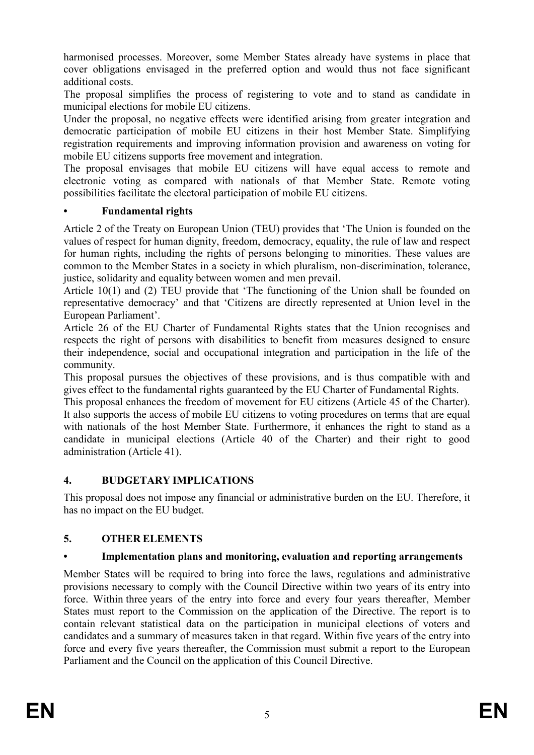harmonised processes. Moreover, some Member States already have systems in place that cover obligations envisaged in the preferred option and would thus not face significant additional costs.

The proposal simplifies the process of registering to vote and to stand as candidate in municipal elections for mobile EU citizens.

Under the proposal, no negative effects were identified arising from greater integration and democratic participation of mobile EU citizens in their host Member State. Simplifying registration requirements and improving information provision and awareness on voting for mobile EU citizens supports free movement and integration.

The proposal envisages that mobile EU citizens will have equal access to remote and electronic voting as compared with nationals of that Member State. Remote voting possibilities facilitate the electoral participation of mobile EU citizens.

## **• Fundamental rights**

Article 2 of the Treaty on European Union (TEU) provides that 'The Union is founded on the values of respect for human dignity, freedom, democracy, equality, the rule of law and respect for human rights, including the rights of persons belonging to minorities. These values are common to the Member States in a society in which pluralism, non-discrimination, tolerance, justice, solidarity and equality between women and men prevail.

Article 10(1) and (2) TEU provide that 'The functioning of the Union shall be founded on representative democracy' and that 'Citizens are directly represented at Union level in the European Parliament'.

Article 26 of the EU Charter of Fundamental Rights states that the Union recognises and respects the right of persons with disabilities to benefit from measures designed to ensure their independence, social and occupational integration and participation in the life of the community.

This proposal pursues the objectives of these provisions, and is thus compatible with and gives effect to the fundamental rights guaranteed by the EU Charter of Fundamental Rights.

This proposal enhances the freedom of movement for EU citizens (Article 45 of the Charter). It also supports the access of mobile EU citizens to voting procedures on terms that are equal with nationals of the host Member State. Furthermore, it enhances the right to stand as a candidate in municipal elections (Article 40 of the Charter) and their right to good administration (Article 41).

### **4. BUDGETARY IMPLICATIONS**

This proposal does not impose any financial or administrative burden on the EU. Therefore, it has no impact on the EU budget.

## **5. OTHER ELEMENTS**

## **• Implementation plans and monitoring, evaluation and reporting arrangements**

Member States will be required to bring into force the laws, regulations and administrative provisions necessary to comply with the Council Directive within two years of its entry into force. Within three years of the entry into force and every four years thereafter, Member States must report to the Commission on the application of the Directive. The report is to contain relevant statistical data on the participation in municipal elections of voters and candidates and a summary of measures taken in that regard. Within five years of the entry into force and every five years thereafter, the Commission must submit a report to the European Parliament and the Council on the application of this Council Directive.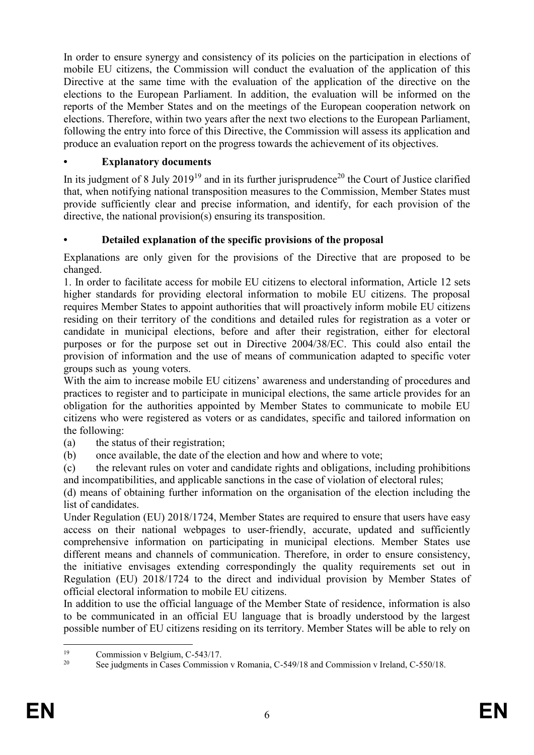In order to ensure synergy and consistency of its policies on the participation in elections of mobile EU citizens, the Commission will conduct the evaluation of the application of this Directive at the same time with the evaluation of the application of the directive on the elections to the European Parliament. In addition, the evaluation will be informed on the reports of the Member States and on the meetings of the European cooperation network on elections. Therefore, within two years after the next two elections to the European Parliament, following the entry into force of this Directive, the Commission will assess its application and produce an evaluation report on the progress towards the achievement of its objectives.

## **• Explanatory documents**

In its judgment of 8 July 2019<sup>19</sup> and in its further jurisprudence<sup>20</sup> the Court of Justice clarified that, when notifying national transposition measures to the Commission, Member States must provide sufficiently clear and precise information, and identify, for each provision of the directive, the national provision(s) ensuring its transposition.

## **• Detailed explanation of the specific provisions of the proposal**

Explanations are only given for the provisions of the Directive that are proposed to be changed.

1. In order to facilitate access for mobile EU citizens to electoral information, Article 12 sets higher standards for providing electoral information to mobile EU citizens. The proposal requires Member States to appoint authorities that will proactively inform mobile EU citizens residing on their territory of the conditions and detailed rules for registration as a voter or candidate in municipal elections, before and after their registration, either for electoral purposes or for the purpose set out in Directive 2004/38/EC. This could also entail the provision of information and the use of means of communication adapted to specific voter groups such as young voters.

With the aim to increase mobile EU citizens' awareness and understanding of procedures and practices to register and to participate in municipal elections, the same article provides for an obligation for the authorities appointed by Member States to communicate to mobile EU citizens who were registered as voters or as candidates, specific and tailored information on the following:

- (a) the status of their registration;
- (b) once available, the date of the election and how and where to vote;

(c) the relevant rules on voter and candidate rights and obligations, including prohibitions and incompatibilities, and applicable sanctions in the case of violation of electoral rules;

(d) means of obtaining further information on the organisation of the election including the list of candidates.

Under Regulation (EU) 2018/1724, Member States are required to ensure that users have easy access on their national webpages to user-friendly, accurate, updated and sufficiently comprehensive information on participating in municipal elections. Member States use different means and channels of communication. Therefore, in order to ensure consistency, the initiative envisages extending correspondingly the quality requirements set out in Regulation (EU) 2018/1724 to the direct and individual provision by Member States of official electoral information to mobile EU citizens.

In addition to use the official language of the Member State of residence, information is also to be communicated in an official EU language that is broadly understood by the largest possible number of EU citizens residing on its territory. Member States will be able to rely on

 $19$ <sup>19</sup> Commission v Belgium, C-543/17.<br><sup>20</sup> See indemnate in Cases Commission

<sup>20</sup> See judgments in Cases Commission v Romania, C-549/18 and Commission v Ireland, C-550/18.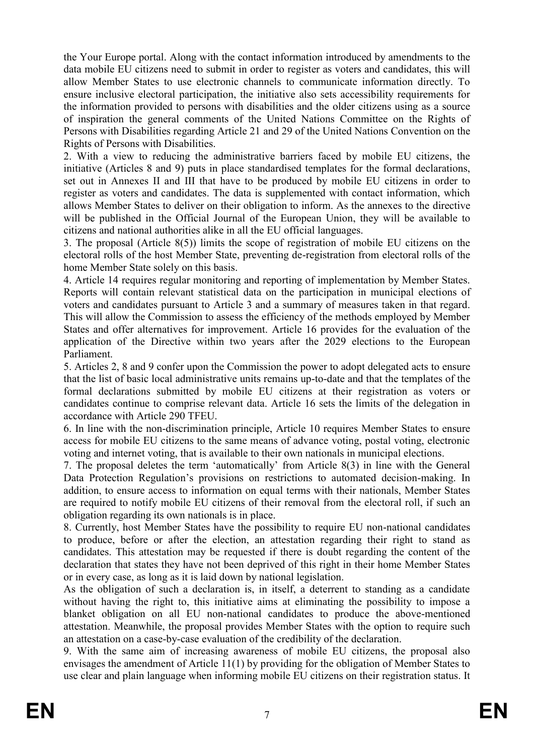the Your Europe portal. Along with the contact information introduced by amendments to the data mobile EU citizens need to submit in order to register as voters and candidates, this will allow Member States to use electronic channels to communicate information directly. To ensure inclusive electoral participation, the initiative also sets accessibility requirements for the information provided to persons with disabilities and the older citizens using as a source of inspiration the general comments of the United Nations Committee on the Rights of Persons with Disabilities regarding Article 21 and 29 of the United Nations Convention on the Rights of Persons with Disabilities.

2. With a view to reducing the administrative barriers faced by mobile EU citizens, the initiative (Articles 8 and 9) puts in place standardised templates for the formal declarations, set out in Annexes II and III that have to be produced by mobile EU citizens in order to register as voters and candidates. The data is supplemented with contact information, which allows Member States to deliver on their obligation to inform. As the annexes to the directive will be published in the Official Journal of the European Union, they will be available to citizens and national authorities alike in all the EU official languages.

3. The proposal (Article 8(5)) limits the scope of registration of mobile EU citizens on the electoral rolls of the host Member State, preventing de-registration from electoral rolls of the home Member State solely on this basis.

4. Article 14 requires regular monitoring and reporting of implementation by Member States. Reports will contain relevant statistical data on the participation in municipal elections of voters and candidates pursuant to Article 3 and a summary of measures taken in that regard. This will allow the Commission to assess the efficiency of the methods employed by Member States and offer alternatives for improvement. Article 16 provides for the evaluation of the application of the Directive within two years after the 2029 elections to the European Parliament.

5. Articles 2, 8 and 9 confer upon the Commission the power to adopt delegated acts to ensure that the list of basic local administrative units remains up-to-date and that the templates of the formal declarations submitted by mobile EU citizens at their registration as voters or candidates continue to comprise relevant data. Article 16 sets the limits of the delegation in accordance with Article 290 TFEU.

6. In line with the non-discrimination principle, Article 10 requires Member States to ensure access for mobile EU citizens to the same means of advance voting, postal voting, electronic voting and internet voting, that is available to their own nationals in municipal elections.

7. The proposal deletes the term 'automatically' from Article 8(3) in line with the General Data Protection Regulation's provisions on restrictions to automated decision-making. In addition, to ensure access to information on equal terms with their nationals, Member States are required to notify mobile EU citizens of their removal from the electoral roll, if such an obligation regarding its own nationals is in place.

8. Currently, host Member States have the possibility to require EU non-national candidates to produce, before or after the election, an attestation regarding their right to stand as candidates. This attestation may be requested if there is doubt regarding the content of the declaration that states they have not been deprived of this right in their home Member States or in every case, as long as it is laid down by national legislation.

As the obligation of such a declaration is, in itself, a deterrent to standing as a candidate without having the right to, this initiative aims at eliminating the possibility to impose a blanket obligation on all EU non-national candidates to produce the above-mentioned attestation. Meanwhile, the proposal provides Member States with the option to require such an attestation on a case-by-case evaluation of the credibility of the declaration.

9. With the same aim of increasing awareness of mobile EU citizens, the proposal also envisages the amendment of Article 11(1) by providing for the obligation of Member States to use clear and plain language when informing mobile EU citizens on their registration status. It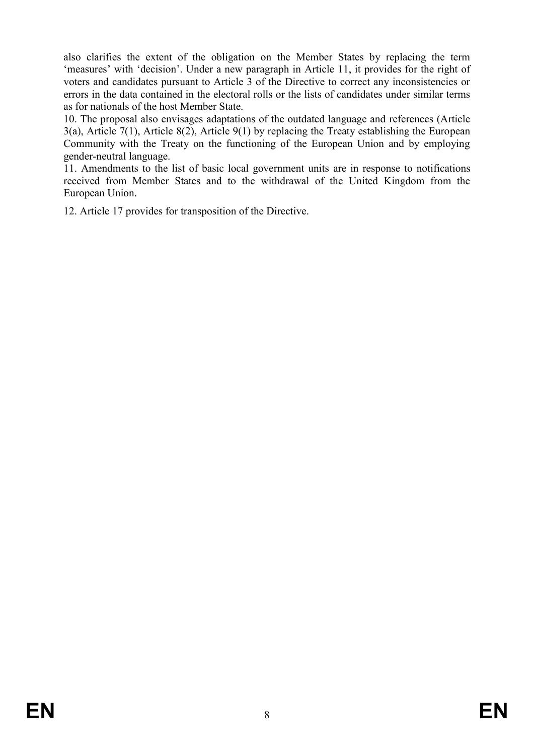also clarifies the extent of the obligation on the Member States by replacing the term 'measures' with 'decision'. Under a new paragraph in Article 11, it provides for the right of voters and candidates pursuant to Article 3 of the Directive to correct any inconsistencies or errors in the data contained in the electoral rolls or the lists of candidates under similar terms as for nationals of the host Member State.

10. The proposal also envisages adaptations of the outdated language and references (Article 3(a), Article 7(1), Article 8(2), Article 9(1) by replacing the Treaty establishing the European Community with the Treaty on the functioning of the European Union and by employing gender-neutral language.

11. Amendments to the list of basic local government units are in response to notifications received from Member States and to the withdrawal of the United Kingdom from the European Union.

12. Article 17 provides for transposition of the Directive.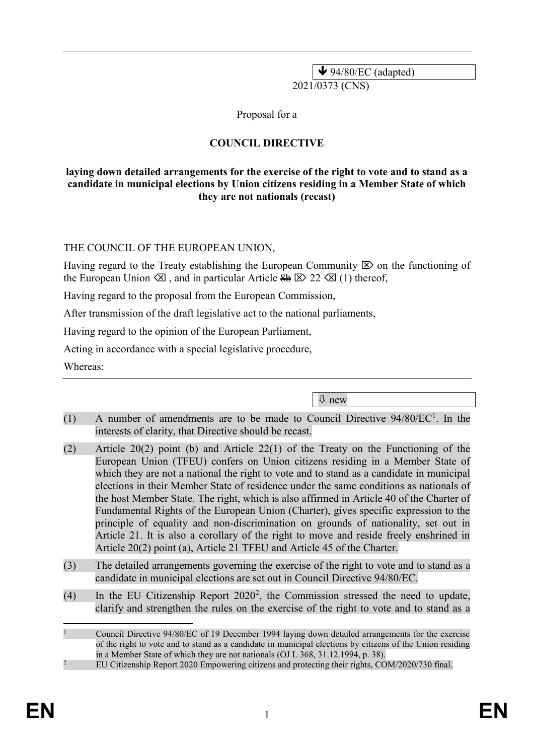$\blacklozenge$  94/80/EC (adapted) 2021/0373 (CNS)

Proposal for a

## **COUNCIL DIRECTIVE**

#### **laying down detailed arrangements for the exercise of the right to vote and to stand as a candidate in municipal elections by Union citizens residing in a Member State of which they are not nationals (recast)**

THE COUNCIL OF THE EUROPEAN UNION,

Having regard to the Treaty establishing the European Community  $\boxtimes$  on the functioning of the European Union  $\otimes$ , and in particular Article  $\otimes$   $\otimes$  22  $\otimes$  (1) thereof,

Having regard to the proposal from the European Commission,

After transmission of the draft legislative act to the national parliaments,

Having regard to the opinion of the European Parliament,

Acting in accordance with a special legislative procedure,

Whereas:

new

- (1) A number of amendments are to be made to Council Directive 94/80/EC<sup>1</sup>. In the interests of clarity, that Directive should be recast.
- (2) Article 20(2) point (b) and Article 22(1) of the Treaty on the Functioning of the European Union (TFEU) confers on Union citizens residing in a Member State of which they are not a national the right to vote and to stand as a candidate in municipal elections in their Member State of residence under the same conditions as nationals of the host Member State. The right, which is also affirmed in Article 40 of the Charter of Fundamental Rights of the European Union (Charter), gives specific expression to the principle of equality and non-discrimination on grounds of nationality, set out in Article 21. It is also a corollary of the right to move and reside freely enshrined in Article 20(2) point (a), Article 21 TFEU and Article 45 of the Charter.
- (3) The detailed arrangements governing the exercise of the right to vote and to stand as a candidate in municipal elections are set out in Council Directive 94/80/EC.
- (4) In the EU Citizenship Report  $2020^2$ , the Commission stressed the need to update, clarify and strengthen the rules on the exercise of the right to vote and to stand as a

 $\overline{a}$ 

<sup>1</sup> Council Directive 94/80/EC of 19 December 1994 laying down detailed arrangements for the exercise of the right to vote and to stand as a candidate in municipal elections by citizens of the Union residing in a Member State of which they are not nationals (OJ L 368, 31.12.1994, p. 38). <sup>2</sup> EU Citizenship Report 2020 Empowering citizens and protecting their rights, COM/2020/730 final.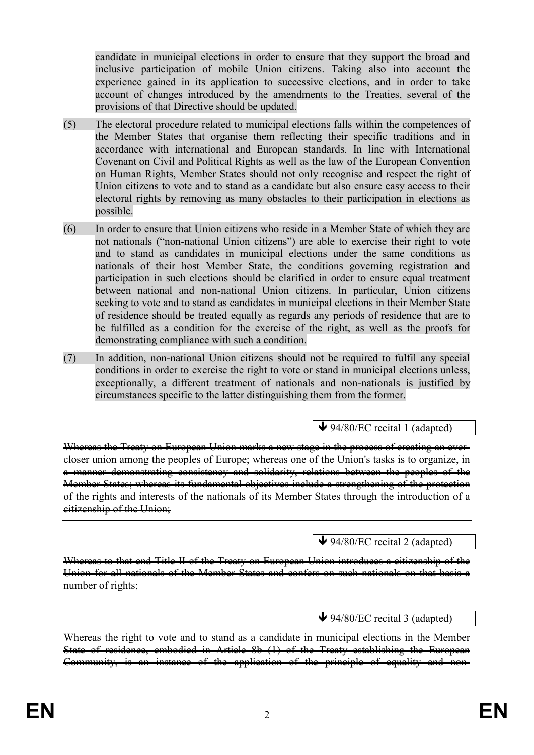candidate in municipal elections in order to ensure that they support the broad and inclusive participation of mobile Union citizens. Taking also into account the experience gained in its application to successive elections, and in order to take account of changes introduced by the amendments to the Treaties, several of the provisions of that Directive should be updated.

- (5) The electoral procedure related to municipal elections falls within the competences of the Member States that organise them reflecting their specific traditions and in accordance with international and European standards. In line with International Covenant on Civil and Political Rights as well as the law of the European Convention on Human Rights, Member States should not only recognise and respect the right of Union citizens to vote and to stand as a candidate but also ensure easy access to their electoral rights by removing as many obstacles to their participation in elections as possible.
- (6) In order to ensure that Union citizens who reside in a Member State of which they are not nationals ("non-national Union citizens") are able to exercise their right to vote and to stand as candidates in municipal elections under the same conditions as nationals of their host Member State, the conditions governing registration and participation in such elections should be clarified in order to ensure equal treatment between national and non-national Union citizens. In particular, Union citizens seeking to vote and to stand as candidates in municipal elections in their Member State of residence should be treated equally as regards any periods of residence that are to be fulfilled as a condition for the exercise of the right, as well as the proofs for demonstrating compliance with such a condition.
- (7) In addition, non-national Union citizens should not be required to fulfil any special conditions in order to exercise the right to vote or stand in municipal elections unless, exceptionally, a different treatment of nationals and non-nationals is justified by circumstances specific to the latter distinguishing them from the former.

 $\blacktriangleright$  94/80/EC recital 1 (adapted)

Whereas the Treaty on European Union marks a new stage in the process of creating an evercloser union among the peoples of Europe; whereas one of the Union's tasks is to organize, in a manner demonstrating consistency and solidarity, relations between the peoples of the Member States; whereas its fundamental objectives include a strengthening of the protection of the rights and interests of the nationals of its Member States through the introduction of a citizenship of the Union;

### $\blacktriangleright$  94/80/EC recital 2 (adapted)

Whereas to that end Title II of the Treaty on European Union introduces a citizenship of the Union for all nationals of the Member States and confers on such nationals on that basis a number of rights:

### $\blacktriangleright$  94/80/EC recital 3 (adapted)

Whereas the right to vote and to stand as a candidate in municipal elections in the Member State of residence, embodied in Article 8b (1) of the Treaty establishing the European Community, is an instance of the application of the principle of equality and non-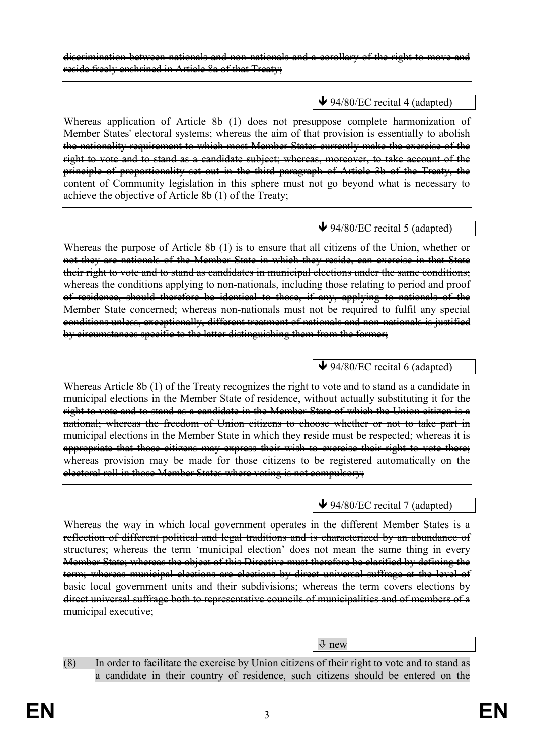#### discrimination between nationals and non-nationals and a corollary of the right to move and reside freely enshrined in Article 8a of that Treaty;

## $\blacktriangleright$  94/80/EC recital 4 (adapted)

Whereas application of Article 8b (1) does not presuppose complete harmonization of Member States' electoral systems; whereas the aim of that provision is essentially to abolish the nationality requirement to which most Member States currently make the exercise of the right to vote and to stand as a candidate subject; whereas, moreover, to take account of the principle of proportionality set out in the third paragraph of Article 3b of the Treaty, the content of Community legislation in this sphere must not go beyond what is necessary to achieve the objective of Article 8b (1) of the Treaty;

## $\blacktriangleright$  94/80/EC recital 5 (adapted)

Whereas the purpose of Article 8b (1) is to ensure that all citizens of the Union, whether or not they are nationals of the Member State in which they reside, can exercise in that State their right to vote and to stand as candidates in municipal elections under the same conditions; whereas the conditions applying to non-nationals, including those relating to period and proof of residence, should therefore be identical to those, if any, applying to nationals of the Member State concerned; whereas non-nationals must not be required to fulfil any special conditions unless, exceptionally, different treatment of nationals and non-nationals is justified by circumstances specific to the latter distinguishing them from the former;

## $\blacktriangleright$  94/80/EC recital 6 (adapted)

Whereas Article 8b (1) of the Treaty recognizes the right to vote and to stand as a candidate in municipal elections in the Member State of residence, without actually substituting it for the right to vote and to stand as a candidate in the Member State of which the Union citizen is a national; whereas the freedom of Union citizens to choose whether or not to take part in municipal elections in the Member State in which they reside must be respected; whereas it is appropriate that those citizens may express their wish to exercise their right to vote there; whereas provision may be made for those citizens to be registered automatically on the electoral roll in those Member States where voting is not compulsory;

## $\blacklozenge$  94/80/EC recital 7 (adapted)

Whereas the way in which local government operates in the different Member States is a reflection of different political and legal traditions and is characterized by an abundance of structures; whereas the term 'municipal election' does not mean the same thing in every Member State; whereas the object of this Directive must therefore be clarified by defining the term; whereas municipal elections are elections by direct universal suffrage at the level of basic local government units and their subdivisions; whereas the term covers elections by direct universal suffrage both to representative councils of municipalities and of members of a municipal executive;

 $\overline{\psi}$  new

(8) In order to facilitate the exercise by Union citizens of their right to vote and to stand as a candidate in their country of residence, such citizens should be entered on the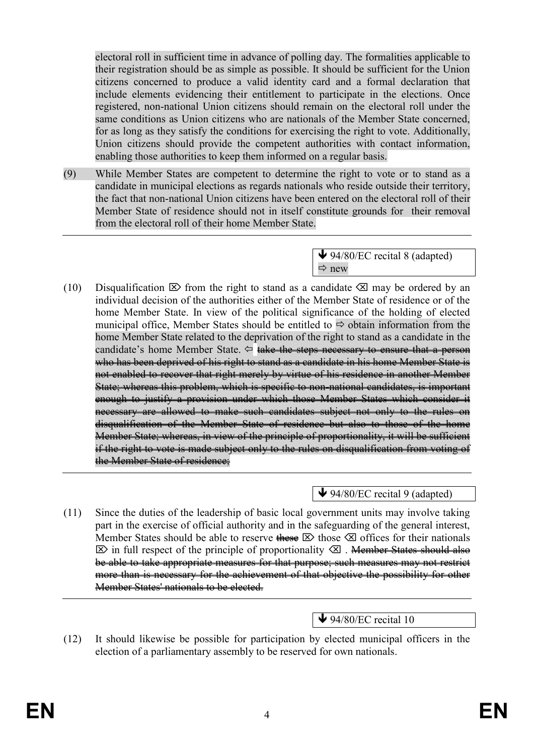electoral roll in sufficient time in advance of polling day. The formalities applicable to their registration should be as simple as possible. It should be sufficient for the Union citizens concerned to produce a valid identity card and a formal declaration that include elements evidencing their entitlement to participate in the elections. Once registered, non-national Union citizens should remain on the electoral roll under the same conditions as Union citizens who are nationals of the Member State concerned, for as long as they satisfy the conditions for exercising the right to vote. Additionally, Union citizens should provide the competent authorities with contact information, enabling those authorities to keep them informed on a regular basis.

(9) While Member States are competent to determine the right to vote or to stand as a candidate in municipal elections as regards nationals who reside outside their territory, the fact that non-national Union citizens have been entered on the electoral roll of their Member State of residence should not in itself constitute grounds for their removal from the electoral roll of their home Member State.

> $\bigvee$  94/80/EC recital 8 (adapted)  $\Rightarrow$  new

(10) Disqualification  $\boxtimes$  from the right to stand as a candidate  $\boxtimes$  may be ordered by an individual decision of the authorities either of the Member State of residence or of the home Member State. In view of the political significance of the holding of elected municipal office, Member States should be entitled to  $\Rightarrow$  obtain information from the home Member State related to the deprivation of the right to stand as a candidate in the candidate's home Member State.  $\Leftrightarrow$  take the steps necessary to ensure that a person who has been deprived of his right to stand as a candidate in his home Member State is not enabled to recover that right merely by virtue of his residence in another Member State; whereas this problem, which is specific to non-national candidates, is important enough to justify a provision under which those Member States which consider it necessary are allowed to make such candidates subject not only to the rules on disqualification of the Member State of residence but also to those of the home Member State; whereas, in view of the principle of proportionality, it will be sufficient if the right to vote is made subject only to the rules on disqualification from voting of the Member State of residence:

 $\bigvee$  94/80/EC recital 9 (adapted)

(11) Since the duties of the leadership of basic local government units may involve taking part in the exercise of official authority and in the safeguarding of the general interest, Member States should be able to reserve these  $\boxtimes$  those  $\boxtimes$  offices for their nationals  $\boxtimes$  in full respect of the principle of proportionality  $\boxtimes$ . <del>Member States should also</del> be able to take appropriate measures for that purpose; such measures may not restrict more than is necessary for the achievement of that objective the possibility for other Member States' nationals to be elected.

 $\blacktriangleright$  94/80/EC recital 10

(12) It should likewise be possible for participation by elected municipal officers in the election of a parliamentary assembly to be reserved for own nationals.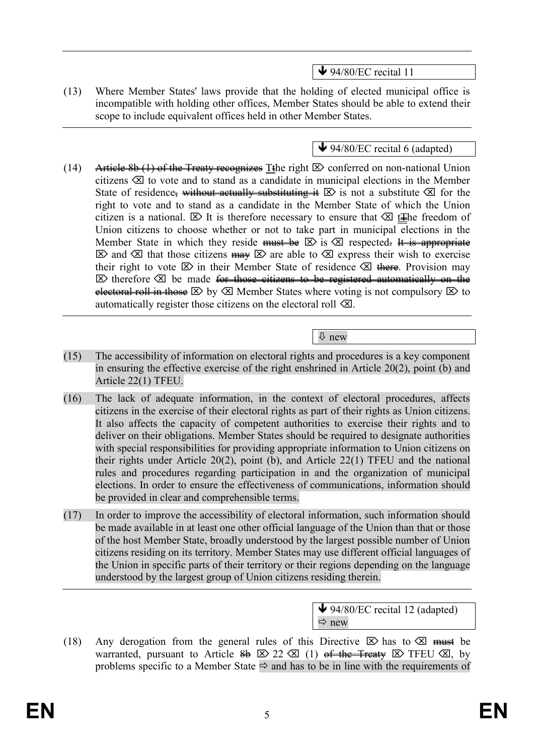$\blacktriangleright$  94/80/EC recital 11

(13) Where Member States' laws provide that the holding of elected municipal office is incompatible with holding other offices, Member States should be able to extend their scope to include equivalent offices held in other Member States.

 $\blacktriangleright$  94/80/EC recital 6 (adapted)

- (14) Article 8b (1) of the Treaty recognizes Tthe right  $\boxtimes$  conferred on non-national Union citizens  $\otimes$  to vote and to stand as a candidate in municipal elections in the Member State of residence, without actually substituting it  $\boxtimes$  is not a substitute  $\boxtimes$  for the right to vote and to stand as a candidate in the Member State of which the Union citizen is a national.  $\boxtimes$  It is therefore necessary to ensure that  $\boxtimes$  t+he freedom of Union citizens to choose whether or not to take part in municipal elections in the Member State in which they reside must be  $\boxtimes$  is  $\boxtimes$  respected. It is appropriate  $\boxtimes$  and  $\boxtimes$  that those citizens  $\overline{may} \boxtimes$  are able to  $\boxtimes$  express their wish to exercise their right to vote  $\boxtimes$  in their Member State of residence  $\boxtimes$  there. Provision may  $\boxtimes$  therefore  $\boxtimes$  be made <del>for those citizens to be registered automatically on the</del> electoral roll in those  $\boxtimes$  by  $\boxtimes$  Member States where voting is not compulsory  $\boxtimes$  to automatically register those citizens on the electoral roll  $\otimes$ .
- (15) The accessibility of information on electoral rights and procedures is a key component in ensuring the effective exercise of the right enshrined in Article 20(2), point (b) and Article 22(1) TFEU.

new

- (16) The lack of adequate information, in the context of electoral procedures, affects citizens in the exercise of their electoral rights as part of their rights as Union citizens. It also affects the capacity of competent authorities to exercise their rights and to deliver on their obligations. Member States should be required to designate authorities with special responsibilities for providing appropriate information to Union citizens on their rights under Article 20(2), point (b), and Article 22(1) TFEU and the national rules and procedures regarding participation in and the organization of municipal elections. In order to ensure the effectiveness of communications, information should be provided in clear and comprehensible terms.
- (17) In order to improve the accessibility of electoral information, such information should be made available in at least one other official language of the Union than that or those of the host Member State, broadly understood by the largest possible number of Union citizens residing on its territory. Member States may use different official languages of the Union in specific parts of their territory or their regions depending on the language understood by the largest group of Union citizens residing therein.

 $\blacktriangleright$  94/80/EC recital 12 (adapted)  $Arr$  new

(18) Any derogation from the general rules of this Directive  $\boxtimes$  has to  $\boxtimes$  must be warranted, pursuant to Article  $\frac{2}{9}$   $\boxtimes$  22  $\boxtimes$  (1) of the Treaty  $\boxtimes$  TFEU  $\boxtimes$ , by problems specific to a Member State  $\Rightarrow$  and has to be in line with the requirements of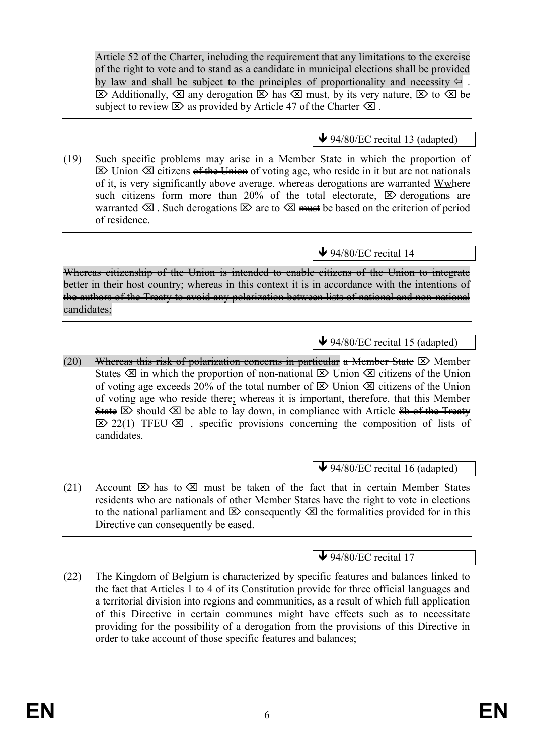Article 52 of the Charter, including the requirement that any limitations to the exercise of the right to vote and to stand as a candidate in municipal elections shall be provided by law and shall be subject to the principles of proportionality and necessity  $\Leftarrow$ .  $\boxtimes$  Additionally,  $\boxtimes$  any derogation  $\boxtimes$  has  $\boxtimes$  must, by its very nature,  $\boxtimes$  to  $\boxtimes$  be subject to review  $\boxtimes$  as provided by Article 47 of the Charter  $\boxtimes$ .

## $\blacktriangleright$  94/80/EC recital 13 (adapted)

(19) Such specific problems may arise in a Member State in which the proportion of  $\boxtimes$  Union  $\boxtimes$  citizens of the Union of voting age, who reside in it but are not nationals of it, is very significantly above average. whereas derogations are warranted Wwhere such citizens form more than 20% of the total electorate,  $\boxtimes$  derogations are warranted  $\otimes$ . Such derogations  $\otimes$  are to  $\otimes$  must be based on the criterion of period of residence.

## $\blacktriangleright$  94/80/EC recital 14

Whereas citizenship of the Union is intended to enable citizens of the Union to integrate better in their host country; whereas in this context it is in accordance with the intentions of the authors of the Treaty to avoid any polarization between lists of national and non-national eandidates:

## $\blacktriangleright$  94/80/EC recital 15 (adapted)

(20) Whereas this risk of polarization concerns in particular a Member State  $\boxtimes$  Member States  $\otimes$  in which the proportion of non-national  $\otimes$  Union  $\otimes$  citizens of the Union of voting age exceeds 20% of the total number of  $\boxtimes$  Union  $\boxtimes$  citizens of the Union of voting age who reside there; whereas it is important, therefore, that this Member State  $\boxtimes$  should  $\boxtimes$  be able to lay down, in compliance with Article 8b of the Treaty  $\boxtimes$  22(1) TFEU  $\boxtimes$ , specific provisions concerning the composition of lists of candidates.

 $\bigvee$  94/80/EC recital 16 (adapted)

(21) Account  $\boxtimes$  has to  $\boxtimes$  must be taken of the fact that in certain Member States residents who are nationals of other Member States have the right to vote in elections to the national parliament and  $\boxtimes$  consequently  $\boxtimes$  the formalities provided for in this Directive can consequently be eased.

 $\blacktriangleright$  94/80/EC recital 17

(22) The Kingdom of Belgium is characterized by specific features and balances linked to the fact that Articles 1 to 4 of its Constitution provide for three official languages and a territorial division into regions and communities, as a result of which full application of this Directive in certain communes might have effects such as to necessitate providing for the possibility of a derogation from the provisions of this Directive in order to take account of those specific features and balances;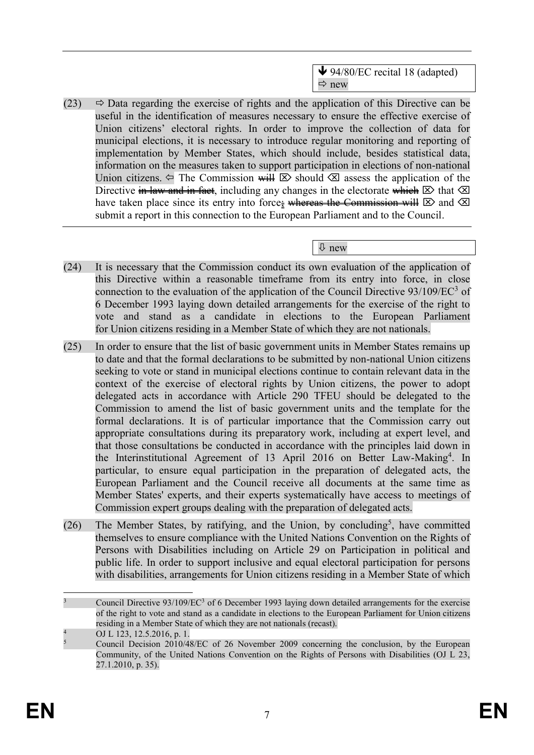↓ 94/80/EC recital 18 (adapted)  $\Rightarrow$  new

(23)  $\Rightarrow$  Data regarding the exercise of rights and the application of this Directive can be useful in the identification of measures necessary to ensure the effective exercise of Union citizens' electoral rights. In order to improve the collection of data for municipal elections, it is necessary to introduce regular monitoring and reporting of implementation by Member States, which should include, besides statistical data, information on the measures taken to support participation in elections of non-national Union citizens.  $\Leftarrow$  The Commission will  $\boxtimes$  should  $\boxtimes$  assess the application of the Directive in law and in fact, including any changes in the electorate which  $\boxtimes$  that  $\boxtimes$ have taken place since its entry into force; whereas the Commission will  $\boxtimes$  and  $\boxtimes$ submit a report in this connection to the European Parliament and to the Council.

new

- (24) It is necessary that the Commission conduct its own evaluation of the application of this Directive within a reasonable timeframe from its entry into force, in close connection to the evaluation of the application of the Council Directive  $93/109$ /EC $3$  of 6 December 1993 laying down detailed arrangements for the exercise of the right to vote and stand as a candidate in elections to the European Parliament for Union citizens residing in a Member State of which they are not nationals.
- (25) In order to ensure that the list of basic government units in Member States remains up to date and that the formal declarations to be submitted by non-national Union citizens seeking to vote or stand in municipal elections continue to contain relevant data in the context of the exercise of electoral rights by Union citizens, the power to adopt delegated acts in accordance with Article 290 TFEU should be delegated to the Commission to amend the list of basic government units and the template for the formal declarations. It is of particular importance that the Commission carry out appropriate consultations during its preparatory work, including at expert level, and that those consultations be conducted in accordance with the principles laid down in the Interinstitutional Agreement of 13 April 2016 on Better Law-Making<sup>4</sup>. In particular, to ensure equal participation in the preparation of delegated acts, the European Parliament and the Council receive all documents at the same time as Member States' experts, and their experts systematically have access to meetings of Commission expert groups dealing with the preparation of delegated acts.
- (26) The Member States, by ratifying, and the Union, by concluding<sup>5</sup>, have committed themselves to ensure compliance with the United Nations Convention on the Rights of Persons with Disabilities including on Article 29 on Participation in political and public life. In order to support inclusive and equal electoral participation for persons with disabilities, arrangements for Union citizens residing in a Member State of which

 $\overline{a}$ Council Directive 93/109/EC<sup>3</sup> of 6 December 1993 laying down detailed arrangements for the exercise of the right to vote and stand as a candidate in elections to the European Parliament for Union citizens residing in a Member State of which they are not nationals (recast).

<sup>4</sup> OJ L 123, 12.5.2016, p. 1.

<sup>5</sup> Council Decision 2010/48/EC of 26 November 2009 concerning the conclusion, by the European Community, of the United Nations Convention on the Rights of Persons with Disabilities (OJ L 23, 27.1.2010, p. 35).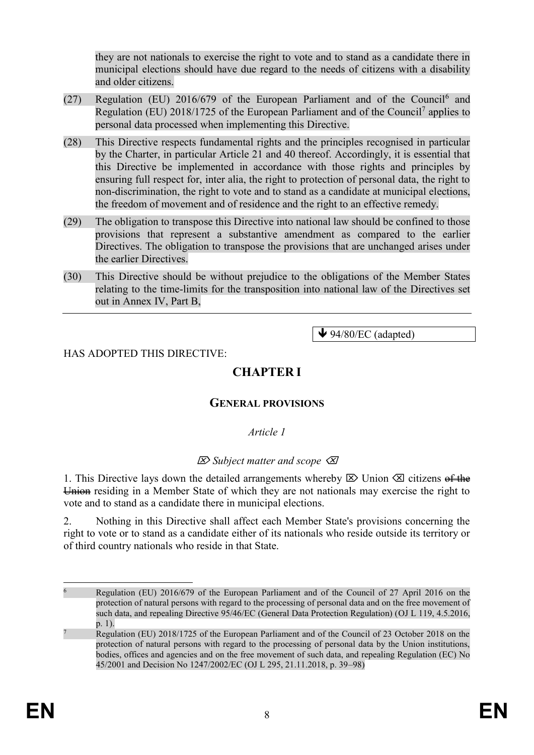they are not nationals to exercise the right to vote and to stand as a candidate there in municipal elections should have due regard to the needs of citizens with a disability and older citizens.

- (27) Regulation (EU) 2016/679 of the European Parliament and of the Council<sup>6</sup> and Regulation (EU) 2018/1725 of the European Parliament and of the Council<sup>7</sup> applies to personal data processed when implementing this Directive.
- (28) This Directive respects fundamental rights and the principles recognised in particular by the Charter, in particular Article 21 and 40 thereof. Accordingly, it is essential that this Directive be implemented in accordance with those rights and principles by ensuring full respect for, inter alia, the right to protection of personal data, the right to non-discrimination, the right to vote and to stand as a candidate at municipal elections, the freedom of movement and of residence and the right to an effective remedy.
- (29) The obligation to transpose this Directive into national law should be confined to those provisions that represent a substantive amendment as compared to the earlier Directives. The obligation to transpose the provisions that are unchanged arises under the earlier Directives.
- (30) This Directive should be without prejudice to the obligations of the Member States relating to the time-limits for the transposition into national law of the Directives set out in Annex IV, Part B,

 $\blacktriangleright$  94/80/EC (adapted)

### HAS ADOPTED THIS DIRECTIVE:

# **CHAPTER I**

### **GENERAL PROVISIONS**

*Article 1*

### *Subject matter and scope*

1. This Directive lays down the detailed arrangements whereby  $\boxtimes$  Union  $\boxtimes$  citizens of the Union residing in a Member State of which they are not nationals may exercise the right to vote and to stand as a candidate there in municipal elections.

2. Nothing in this Directive shall affect each Member State's provisions concerning the right to vote or to stand as a candidate either of its nationals who reside outside its territory or of third country nationals who reside in that State.

 $\overline{a}$ <sup>6</sup> Regulation (EU) 2016/679 of the European Parliament and of the Council of 27 April 2016 on the protection of natural persons with regard to the processing of personal data and on the free movement of such data, and repealing Directive 95/46/EC (General Data Protection Regulation) (OJ L 119, 4.5.2016, p. 1).

<sup>7</sup> Regulation (EU) 2018/1725 of the European Parliament and of the Council of 23 October 2018 on the protection of natural persons with regard to the processing of personal data by the Union institutions, bodies, offices and agencies and on the free movement of such data, and repealing Regulation (EC) No 45/2001 and Decision No 1247/2002/EC (OJ L 295, 21.11.2018, p. 39–98)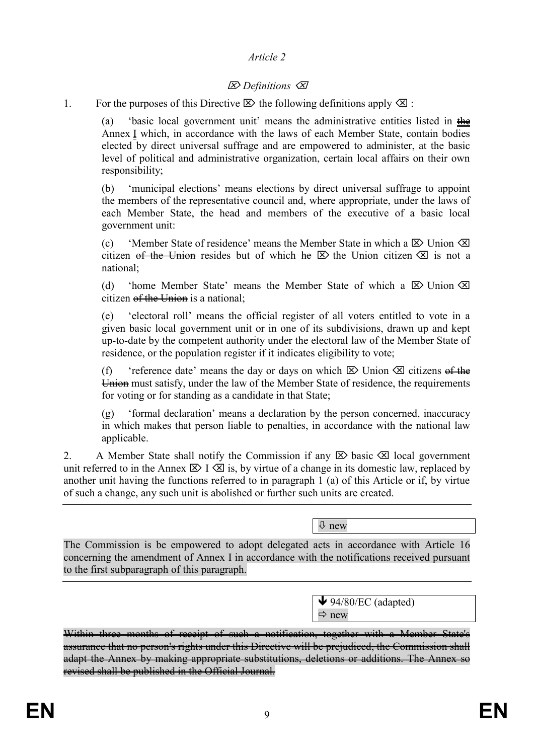### *Article 2*

## *Definitions*

1. For the purposes of this Directive  $\boxtimes$  the following definitions apply  $\boxtimes$ :

(a) 'basic local government unit' means the administrative entities listed in the Annex I which, in accordance with the laws of each Member State, contain bodies elected by direct universal suffrage and are empowered to administer, at the basic level of political and administrative organization, certain local affairs on their own responsibility;

(b) 'municipal elections' means elections by direct universal suffrage to appoint the members of the representative council and, where appropriate, under the laws of each Member State, the head and members of the executive of a basic local government unit:

(c) 'Member State of residence' means the Member State in which a  $\boxtimes$  Union  $\boxtimes$ citizen of the Union resides but of which  $\text{Re} \Sigma$  the Union citizen  $\infty$  is not a national;

(d) 'home Member State' means the Member State of which a  $\boxtimes$  Union  $\boxtimes$ citizen  $\theta$ f the Union is a national;

(e) 'electoral roll' means the official register of all voters entitled to vote in a given basic local government unit or in one of its subdivisions, drawn up and kept up-to-date by the competent authority under the electoral law of the Member State of residence, or the population register if it indicates eligibility to vote;

(f) 'reference date' means the day or days on which  $\boxtimes$  Union  $\boxtimes$  citizens of the Union must satisfy, under the law of the Member State of residence, the requirements for voting or for standing as a candidate in that State;

(g) 'formal declaration' means a declaration by the person concerned, inaccuracy in which makes that person liable to penalties, in accordance with the national law applicable.

2. A Member State shall notify the Commission if any  $\boxtimes$  basic  $\boxtimes$  local government unit referred to in the Annex  $\boxtimes$  I  $\boxtimes$  is, by virtue of a change in its domestic law, replaced by another unit having the functions referred to in paragraph 1 (a) of this Article or if, by virtue of such a change, any such unit is abolished or further such units are created.

new

The Commission is be empowered to adopt delegated acts in accordance with Article 16 concerning the amendment of Annex I in accordance with the notifications received pursuant to the first subparagraph of this paragraph.

> $\blacktriangleright$  94/80/EC (adapted)  $\Rightarrow$  new

Within three months of receipt of such a notification, together with a Member State's assurance that no person's rights under this Directive will be prejudiced, the Commission shall adapt the Annex by making appropriate substitutions, deletions or additions. The Annex so revised shall be published in the Official Journal.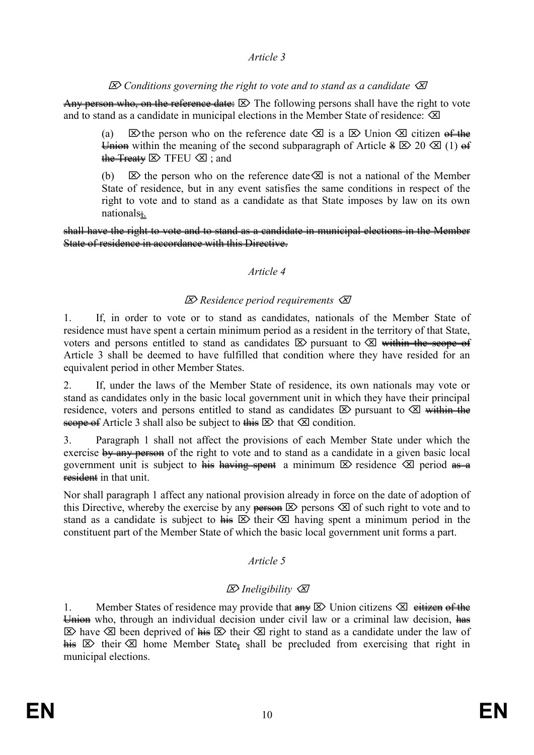### *Article 3*

### *Conditions governing the right to vote and to stand as a candidate*

Any person who, on the reference date:  $\boxtimes$  The following persons shall have the right to vote and to stand as a candidate in municipal elections in the Member State of residence:  $\otimes$ 

(a)  $\boxtimes$  the person who on the reference date  $\boxtimes$  is a  $\boxtimes$  Union  $\boxtimes$  citizen of the Union within the meaning of the second subparagraph of Article  $\frac{1}{2} \mathbb{Z} \times 20 \mathbb{Z}$  (1) of the Treaty  $\boxtimes$  TFEU  $\boxtimes$ ; and

(b)  $\&set$  the person who on the reference date  $\&set$  is not a national of the Member State of residence, but in any event satisfies the same conditions in respect of the right to vote and to stand as a candidate as that State imposes by law on its own nationals;.

shall have the right to vote and to stand as a candidate in municipal elections in the Member State of residence in accordance with this Directive.

#### *Article 4*

### *Residence period requirements*

1. If, in order to vote or to stand as candidates, nationals of the Member State of residence must have spent a certain minimum period as a resident in the territory of that State, voters and persons entitled to stand as candidates  $\boxtimes$  pursuant to  $\boxtimes$  within the scope of Article 3 shall be deemed to have fulfilled that condition where they have resided for an equivalent period in other Member States.

2. If, under the laws of the Member State of residence, its own nationals may vote or stand as candidates only in the basic local government unit in which they have their principal residence, voters and persons entitled to stand as candidates  $\boxtimes$  pursuant to  $\boxtimes$  within the scope of Article 3 shall also be subject to this  $\boxtimes$  that  $\boxtimes$  condition.

3. Paragraph 1 shall not affect the provisions of each Member State under which the exercise by any person of the right to vote and to stand as a candidate in a given basic local government unit is subject to his having spent a minimum  $\mathbb{Z}$  residence  $\mathbb{Z}$  period as a resident in that unit

Nor shall paragraph 1 affect any national provision already in force on the date of adoption of this Directive, whereby the exercise by any persons  $\otimes$  persons  $\otimes$  of such right to vote and to stand as a candidate is subject to  $\overline{h}$   $\overline{\infty}$  their  $\overline{\infty}$  having spent a minimum period in the constituent part of the Member State of which the basic local government unit forms a part.

### *Article 5*

### *Ineligibility*

1. Member States of residence may provide that  $\lim_{x \to \infty} \mathbb{E}$  Union citizens  $\mathbb{E}$  eitizen of the Union who, through an individual decision under civil law or a criminal law decision, has  $\boxtimes$  have  $\boxtimes$  been deprived of his  $\boxtimes$  their  $\boxtimes$  right to stand as a candidate under the law of his  $\boxtimes$  their  $\boxtimes$  home Member State, shall be precluded from exercising that right in municipal elections.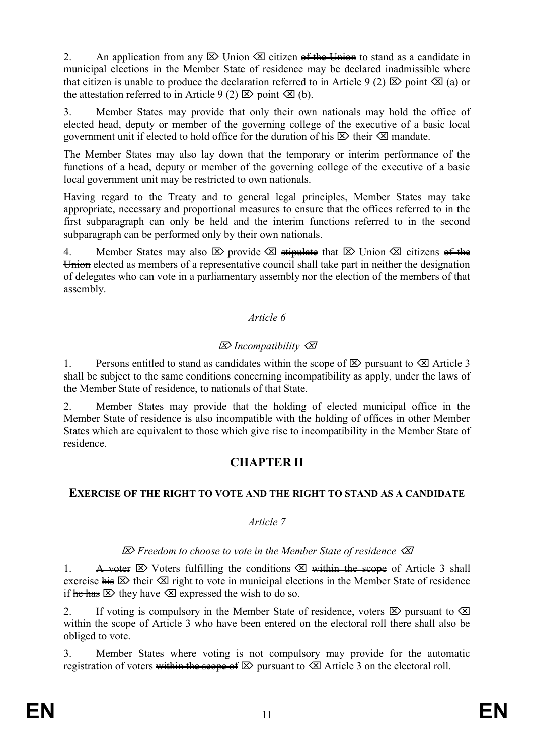2. An application from any  $\boxtimes$  Union  $\boxtimes$  citizen of the Union to stand as a candidate in municipal elections in the Member State of residence may be declared inadmissible where that citizen is unable to produce the declaration referred to in Article 9 (2)  $\boxtimes$  point  $\boxtimes$  (a) or the attestation referred to in Article 9 (2)  $\boxtimes$  point  $\boxtimes$  (b).

3. Member States may provide that only their own nationals may hold the office of elected head, deputy or member of the governing college of the executive of a basic local government unit if elected to hold office for the duration of  $\overline{h}$   $\overline{\infty}$  their  $\overline{\infty}$  mandate.

The Member States may also lay down that the temporary or interim performance of the functions of a head, deputy or member of the governing college of the executive of a basic local government unit may be restricted to own nationals.

Having regard to the Treaty and to general legal principles, Member States may take appropriate, necessary and proportional measures to ensure that the offices referred to in the first subparagraph can only be held and the interim functions referred to in the second subparagraph can be performed only by their own nationals.

4. Member States may also  $\boxtimes$  provide  $\boxtimes$  stipulate that  $\boxtimes$  Union  $\boxtimes$  citizens of the  $\overline{u}$  Union elected as members of a representative council shall take part in neither the designation of delegates who can vote in a parliamentary assembly nor the election of the members of that assembly.

### *Article 6*

## *Incompatibility*

1. Persons entitled to stand as candidates within the seepe of  $\boxtimes$  pursuant to  $\boxtimes$  Article 3 shall be subject to the same conditions concerning incompatibility as apply, under the laws of the Member State of residence, to nationals of that State.

2. Member States may provide that the holding of elected municipal office in the Member State of residence is also incompatible with the holding of offices in other Member States which are equivalent to those which give rise to incompatibility in the Member State of residence.

## **CHAPTER II**

### **EXERCISE OF THE RIGHT TO VOTE AND THE RIGHT TO STAND AS A CANDIDATE**

### *Article 7*

### *Freedom to choose to vote in the Member State of residence*

1. A voter  $\boxtimes$  Voters fulfilling the conditions  $\boxtimes$  within the scope of Article 3 shall exercise  $\overline{h}$   $\overline{\otimes}$  their  $\overline{\otimes}$  right to vote in municipal elections in the Member State of residence if he has  $\otimes$  they have  $\otimes$  expressed the wish to do so.

2. If voting is compulsory in the Member State of residence, voters  $\boxtimes$  pursuant to  $\boxtimes$ within the seope of Article 3 who have been entered on the electoral roll there shall also be obliged to vote.

3. Member States where voting is not compulsory may provide for the automatic registration of voters within the scope of  $\boxtimes$  pursuant to  $\boxtimes$  Article 3 on the electoral roll.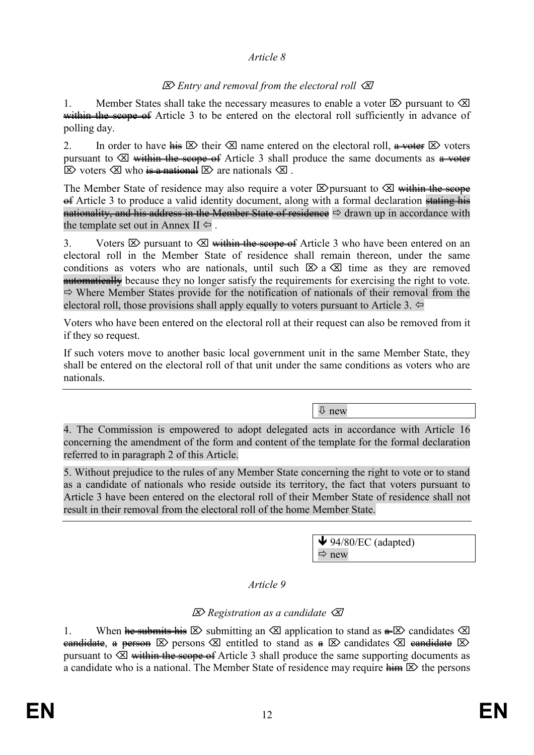#### *Article 8*

## *Entry and removal from the electoral roll*

1. Member States shall take the necessary measures to enable a voter  $\boxtimes$  pursuant to  $\boxtimes$ within the seque of Article 3 to be entered on the electoral roll sufficiently in advance of polling day.

2. In order to have  $\overline{H} \boxtimes$  their  $\boxtimes$  name entered on the electoral roll,  $\overline{H} \rightarrow \overline{H}$  voters pursuant to  $\otimes$  within the scope of Article 3 shall produce the same documents as a voter  $\boxtimes$  voters  $\boxtimes$  who is a national  $\boxtimes$  are nationals  $\boxtimes$ .

The Member State of residence may also require a voter  $\boxtimes$  pursuant to  $\boxtimes$  within the scope  $\theta$  Article 3 to produce a valid identity document, along with a formal declaration stating his nationality, and his address in the Member State of residence  $\Rightarrow$  drawn up in accordance with the template set out in Annex  $II \Leftrightarrow$ .

3. Voters  $\boxtimes$  pursuant to  $\boxtimes$  within the scope of Article 3 who have been entered on an electoral roll in the Member State of residence shall remain thereon, under the same conditions as voters who are nationals, until such  $\boxtimes$  a  $\boxtimes$  time as they are removed **automatically** because they no longer satisfy the requirements for exercising the right to vote.  $\Rightarrow$  Where Member States provide for the notification of nationals of their removal from the electoral roll, those provisions shall apply equally to voters pursuant to Article 3.  $\Leftrightarrow$ 

Voters who have been entered on the electoral roll at their request can also be removed from it if they so request.

If such voters move to another basic local government unit in the same Member State, they shall be entered on the electoral roll of that unit under the same conditions as voters who are nationals.

new

4. The Commission is empowered to adopt delegated acts in accordance with Article 16 concerning the amendment of the form and content of the template for the formal declaration referred to in paragraph 2 of this Article.

5. Without prejudice to the rules of any Member State concerning the right to vote or to stand as a candidate of nationals who reside outside its territory, the fact that voters pursuant to Article 3 have been entered on the electoral roll of their Member State of residence shall not result in their removal from the electoral roll of the home Member State.

> $\blacktriangleright$  94/80/EC (adapted)  $\Rightarrow$  new

*Article 9*

## *Registration as a candidate*

1. When he submits his  $\boxtimes$  submitting an  $\boxtimes$  application to stand as  $\triangle$  and  $\cong$  candidates  $\boxtimes$ candidate, a person  $\boxtimes$  persons  $\boxtimes$  entitled to stand as  $\ast \boxtimes$  candidates  $\boxtimes$  eandidate  $\boxtimes$ pursuant to  $\otimes$  within the scope of Article 3 shall produce the same supporting documents as a candidate who is a national. The Member State of residence may require  $\lim_{n \to \infty}$  the persons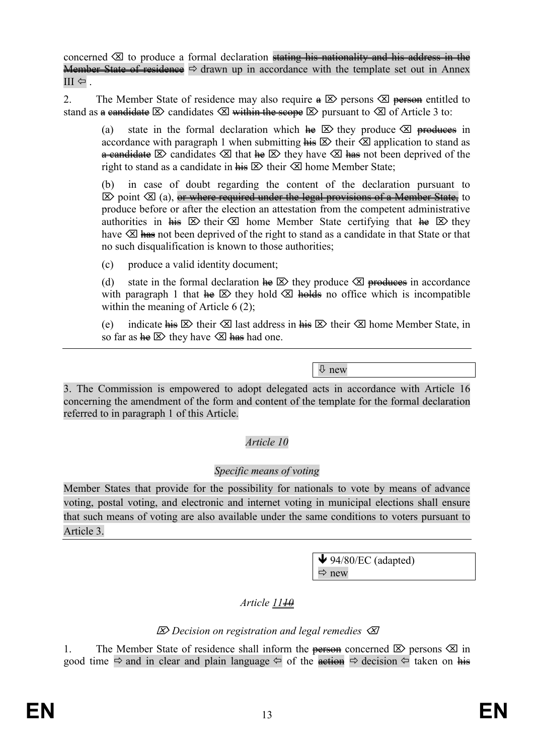concerned  $\otimes$  to produce a formal declaration stating his nationality and his address in the Member State of residence  $\Rightarrow$  drawn up in accordance with the template set out in Annex  $III \Leftrightarrow$ .

2. The Member State of residence may also require  $\oplus \boxtimes$  persons  $\otimes$  person entitled to stand as a candidate  $\boxtimes$  candidates  $\boxtimes$  within the scope  $\boxtimes$  pursuant to  $\boxtimes$  of Article 3 to:

(a) state in the formal declaration which  $\text{He} \boxtimes$  they produce  $\boxtimes$  produces in accordance with paragraph 1 when submitting  $\overline{h}$   $\overline{B}$  their  $\overline{\otimes}$  application to stand as **a candidate**  $\boxtimes$  candidates  $\boxtimes$  that  $\text{Re } \boxtimes$  they have  $\boxtimes$   $\text{Im } \text{Re }$  not been deprived of the right to stand as a candidate in  $\overline{h}$   $\overline{B}$  their  $\overline{C}$  home Member State;

(b) in case of doubt regarding the content of the declaration pursuant to  $\boxtimes$  point  $\boxtimes$  (a), or where required under the legal provisions of a Member State, to produce before or after the election an attestation from the competent administrative authorities in  $\overline{\mathbf{h}}$  is  $\overline{\mathbf{B}}$  their  $\overline{\mathbf{B}}$  home Member State certifying that  $\overline{\mathbf{h}}$   $\overline{\mathbf{B}}$  they have  $\otimes$  has not been deprived of the right to stand as a candidate in that State or that no such disqualification is known to those authorities;

(c) produce a valid identity document;

(d) state in the formal declaration  $\text{Re} \boxtimes$  they produce  $\boxtimes$  produces in accordance with paragraph 1 that  $\text{Re} \boxtimes$  they hold  $\boxtimes$  holds no office which is incompatible within the meaning of Article 6 (2);

(e) indicate  $\overline{h}$  indicate  $\overline{h}$  ast address in  $\overline{h}$   $\overline{h}$  their  $\overline{v}$  home Member State, in so far as  $\text{he} \boxtimes \text{ they have } \text{ } \boxtimes \text{ } \text{has}$  had one.

new

3. The Commission is empowered to adopt delegated acts in accordance with Article 16 concerning the amendment of the form and content of the template for the formal declaration referred to in paragraph 1 of this Article.

## *Article 10*

### *Specific means of voting*

Member States that provide for the possibility for nationals to vote by means of advance voting, postal voting, and electronic and internet voting in municipal elections shall ensure that such means of voting are also available under the same conditions to voters pursuant to Article 3.

> $\blacklozenge$  94/80/EC (adapted)  $Arr$  new

# *Article*  $1140$

## *Decision on registration and legal remedies*

1. The Member State of residence shall inform the **person** concerned  $\boxtimes$  persons  $\boxtimes$  in good time  $\Rightarrow$  and in clear and plain language  $\Leftrightarrow$  of the action  $\Leftrightarrow$  decision  $\Leftrightarrow$  taken on his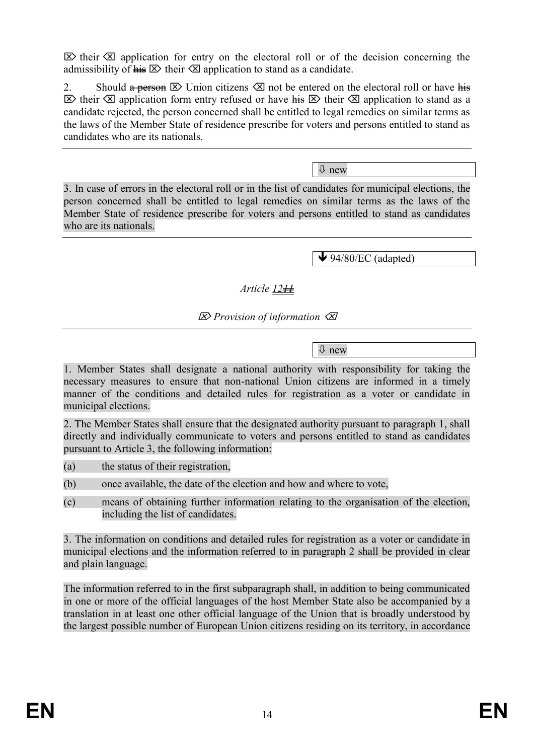$\boxtimes$  their  $\boxtimes$  application for entry on the electoral roll or of the decision concerning the admissibility of  $\overline{h}$   $\overline{\mathcal{B}}$  their  $\overline{\mathcal{B}}$  application to stand as a candidate.

2. Should  $\triangle$  Should  $\triangle$  Union citizens  $\triangle$  not be entered on the electoral roll or have his  $\boxtimes$  their  $\boxtimes$  application form entry refused or have  $\frac{1}{n+1}$   $\boxtimes$  their  $\boxtimes$  application to stand as a candidate rejected, the person concerned shall be entitled to legal remedies on similar terms as the laws of the Member State of residence prescribe for voters and persons entitled to stand as candidates who are its nationals.

new

3. In case of errors in the electoral roll or in the list of candidates for municipal elections, the person concerned shall be entitled to legal remedies on similar terms as the laws of the Member State of residence prescribe for voters and persons entitled to stand as candidates who are its nationals.

 $\blacklozenge$  94/80/EC (adapted)

## *Article 1211*

*Provision of information*

new

1. Member States shall designate a national authority with responsibility for taking the necessary measures to ensure that non-national Union citizens are informed in a timely manner of the conditions and detailed rules for registration as a voter or candidate in municipal elections.

2. The Member States shall ensure that the designated authority pursuant to paragraph 1, shall directly and individually communicate to voters and persons entitled to stand as candidates pursuant to Article 3, the following information:

- (a) the status of their registration,
- (b) once available, the date of the election and how and where to vote,
- (c) means of obtaining further information relating to the organisation of the election, including the list of candidates.

3. The information on conditions and detailed rules for registration as a voter or candidate in municipal elections and the information referred to in paragraph 2 shall be provided in clear and plain language.

The information referred to in the first subparagraph shall, in addition to being communicated in one or more of the official languages of the host Member State also be accompanied by a translation in at least one other official language of the Union that is broadly understood by the largest possible number of European Union citizens residing on its territory, in accordance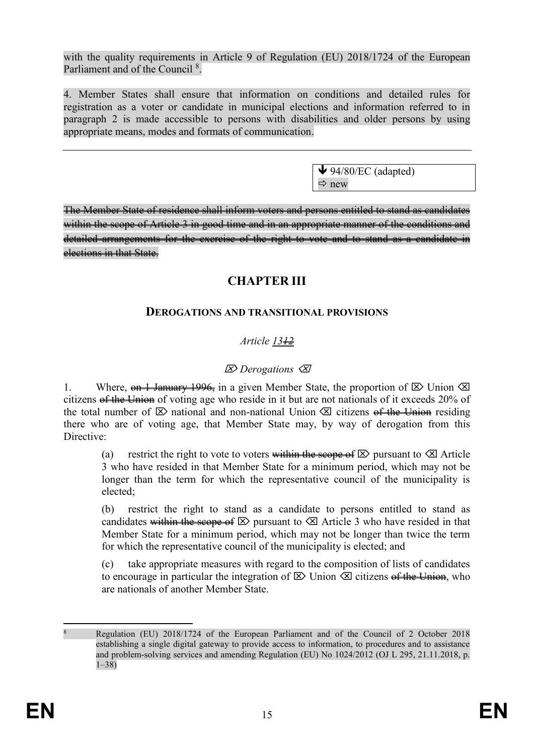with the quality requirements in Article 9 of Regulation (EU) 2018/1724 of the European Parliament and of the Council<sup>8</sup>.

4. Member States shall ensure that information on conditions and detailed rules for registration as a voter or candidate in municipal elections and information referred to in paragraph 2 is made accessible to persons with disabilities and older persons by using appropriate means, modes and formats of communication.

> $\blacklozenge$  94/80/EC (adapted)  $\Rightarrow$  new

The Member State of residence shall inform voters and persons entitled to stand as candidates within the scope of Article 3 in good time and in an appropriate manner of the conditions and detailed arrangements for the exercise of the right to vote and to stand as a candidate in elections in that State.

# **CHAPTER III**

## **DEROGATIONS AND TRANSITIONAL PROVISIONS**

## *Article 1312*

## *Derogations*

1. Where,  $\theta$  1 January 1996, in a given Member State, the proportion of  $\boxtimes$  Union  $\boxtimes$ citizens of the Union of voting age who reside in it but are not nationals of it exceeds 20% of the total number of  $\boxtimes$  national and non-national Union  $\boxtimes$  citizens of the Union residing there who are of voting age, that Member State may, by way of derogation from this Directive<sup>.</sup>

(a) restrict the right to vote to voters within the seepe of  $\boxtimes$  pursuant to  $\boxtimes$  Article 3 who have resided in that Member State for a minimum period, which may not be longer than the term for which the representative council of the municipality is elected;

(b) restrict the right to stand as a candidate to persons entitled to stand as candidates within the scope of  $\boxtimes$  pursuant to  $\boxtimes$  Article 3 who have resided in that Member State for a minimum period, which may not be longer than twice the term for which the representative council of the municipality is elected; and

(c) take appropriate measures with regard to the composition of lists of candidates to encourage in particular the integration of  $\boxtimes$  Union  $\boxtimes$  citizens of the Union, who are nationals of another Member State.

 $\overline{a}$ <sup>8</sup> Regulation (EU) 2018/1724 of the European Parliament and of the Council of 2 October 2018 establishing a single digital gateway to provide access to information, to procedures and to assistance and problem-solving services and amending Regulation (EU) No 1024/2012 (OJ L 295, 21.11.2018, p.  $1 - 38$ )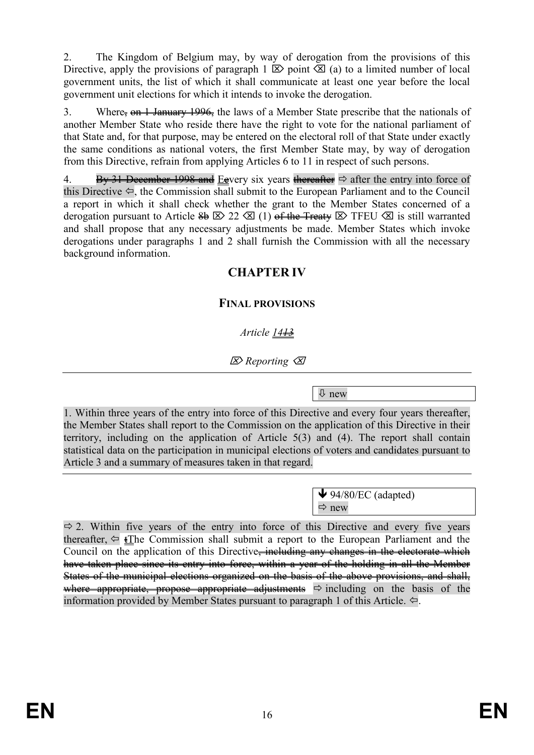2. The Kingdom of Belgium may, by way of derogation from the provisions of this Directive, apply the provisions of paragraph 1  $\boxtimes$  point  $\boxtimes$  (a) to a limited number of local government units, the list of which it shall communicate at least one year before the local government unit elections for which it intends to invoke the derogation.

3. Where,  $\theta$  1 January 1996, the laws of a Member State prescribe that the nationals of another Member State who reside there have the right to vote for the national parliament of that State and, for that purpose, may be entered on the electoral roll of that State under exactly the same conditions as national voters, the first Member State may, by way of derogation from this Directive, refrain from applying Articles 6 to 11 in respect of such persons.

4. By 31 December 1998 and Eevery six years thereafter  $\Rightarrow$  after the entry into force of this Directive  $\Leftarrow$ , the Commission shall submit to the European Parliament and to the Council a report in which it shall check whether the grant to the Member States concerned of a derogation pursuant to Article  $\frac{2b}{22}$   $\boxtimes$  (1) of the Treaty  $\boxtimes$  TFEU  $\boxtimes$  is still warranted and shall propose that any necessary adjustments be made. Member States which invoke derogations under paragraphs 1 and 2 shall furnish the Commission with all the necessary background information.

# **CHAPTER IV**

## **FINAL PROVISIONS**

## *Article 1413*

*Reporting*

new

1. Within three years of the entry into force of this Directive and every four years thereafter, the Member States shall report to the Commission on the application of this Directive in their territory, including on the application of Article 5(3) and (4). The report shall contain statistical data on the participation in municipal elections of voters and candidates pursuant to Article 3 and a summary of measures taken in that regard.

> $\blacktriangleright$  94/80/EC (adapted)  $\Rightarrow$  new

 $\Rightarrow$  2. Within five years of the entry into force of this Directive and every five years thereafter,  $\Leftarrow$  iThe Commission shall submit a report to the European Parliament and the Council on the application of this Directive<del>, including any changes in the electorate which</del> have taken place since its entry into force, within a year of the holding in all the Member States of the municipal elections organized on the basis of the above provisions, and shall, where appropriate, propose appropriate adjustments  $\Rightarrow$  including on the basis of the information provided by Member States pursuant to paragraph 1 of this Article.  $\Leftrightarrow$ .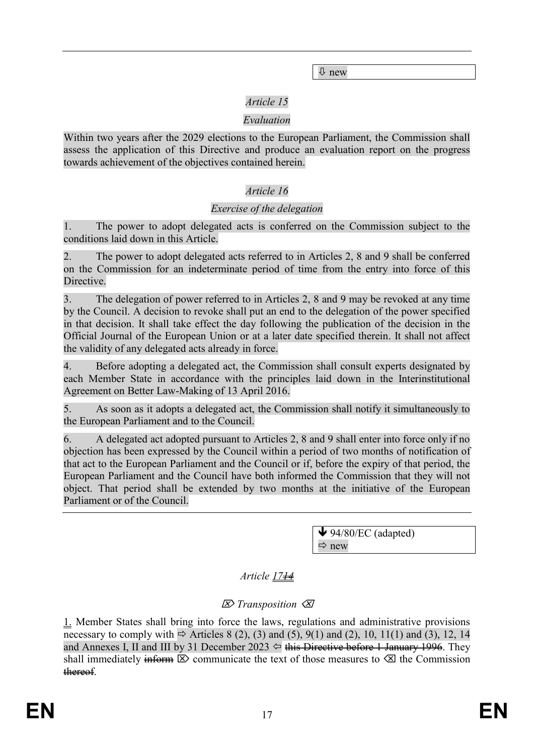new

## *Article 15*

## *Evaluation*

Within two years after the 2029 elections to the European Parliament, the Commission shall assess the application of this Directive and produce an evaluation report on the progress towards achievement of the objectives contained herein.

## *Article 16*

#### *Exercise of the delegation*

1. The power to adopt delegated acts is conferred on the Commission subject to the conditions laid down in this Article.

2. The power to adopt delegated acts referred to in Articles 2, 8 and 9 shall be conferred on the Commission for an indeterminate period of time from the entry into force of this Directive.

3. The delegation of power referred to in Articles 2, 8 and 9 may be revoked at any time by the Council. A decision to revoke shall put an end to the delegation of the power specified in that decision. It shall take effect the day following the publication of the decision in the Official Journal of the European Union or at a later date specified therein. It shall not affect the validity of any delegated acts already in force.

4. Before adopting a delegated act, the Commission shall consult experts designated by each Member State in accordance with the principles laid down in the Interinstitutional Agreement on Better Law-Making of 13 April 2016.

5. As soon as it adopts a delegated act, the Commission shall notify it simultaneously to the European Parliament and to the Council.

6. A delegated act adopted pursuant to Articles 2, 8 and 9 shall enter into force only if no objection has been expressed by the Council within a period of two months of notification of that act to the European Parliament and the Council or if, before the expiry of that period, the European Parliament and the Council have both informed the Commission that they will not object. That period shall be extended by two months at the initiative of the European Parliament or of the Council.

> $\blacklozenge$  94/80/EC (adapted)  $Arr$  new

## *Article 1714*

## *Transposition*

1. Member States shall bring into force the laws, regulations and administrative provisions necessary to comply with  $\Rightarrow$  Articles 8 (2), (3) and (5), 9(1) and (2), 10, 11(1) and (3), 12, 14 and Annexes I, II and III by 31 December 2023  $\Leftrightarrow$  this Directive before 1 January 1996. They shall immediately inform  $\boxtimes$  communicate the text of those measures to  $\boxtimes$  the Commission thereof.